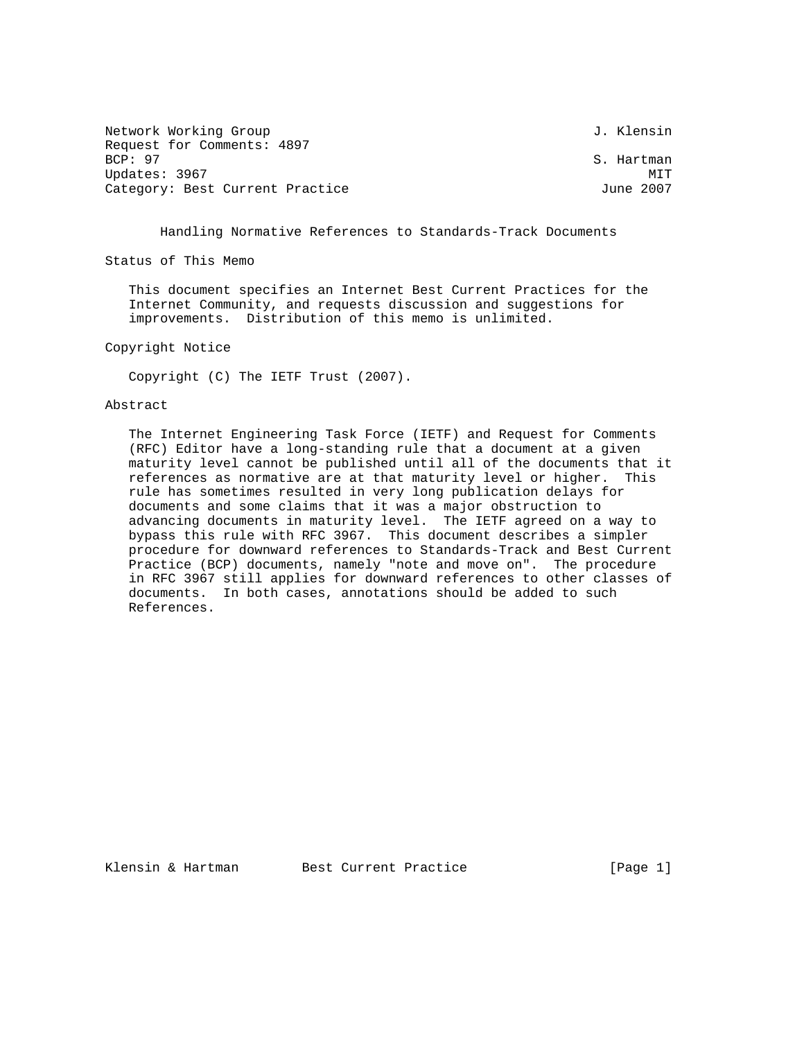| Network Working Group           | J. Klensin |
|---------------------------------|------------|
| Request for Comments: 4897      |            |
| BCP: 97                         | S. Hartman |
| Updates: 3967                   | MTT        |
| Category: Best Current Practice | June 2007  |

Handling Normative References to Standards-Track Documents

Status of This Memo

 This document specifies an Internet Best Current Practices for the Internet Community, and requests discussion and suggestions for improvements. Distribution of this memo is unlimited.

Copyright Notice

Copyright (C) The IETF Trust (2007).

## Abstract

 The Internet Engineering Task Force (IETF) and Request for Comments (RFC) Editor have a long-standing rule that a document at a given maturity level cannot be published until all of the documents that it references as normative are at that maturity level or higher. This rule has sometimes resulted in very long publication delays for documents and some claims that it was a major obstruction to advancing documents in maturity level. The IETF agreed on a way to bypass this rule with RFC 3967. This document describes a simpler procedure for downward references to Standards-Track and Best Current Practice (BCP) documents, namely "note and move on". The procedure in RFC 3967 still applies for downward references to other classes of documents. In both cases, annotations should be added to such References.

Klensin & Hartman Best Current Practice [Page 1]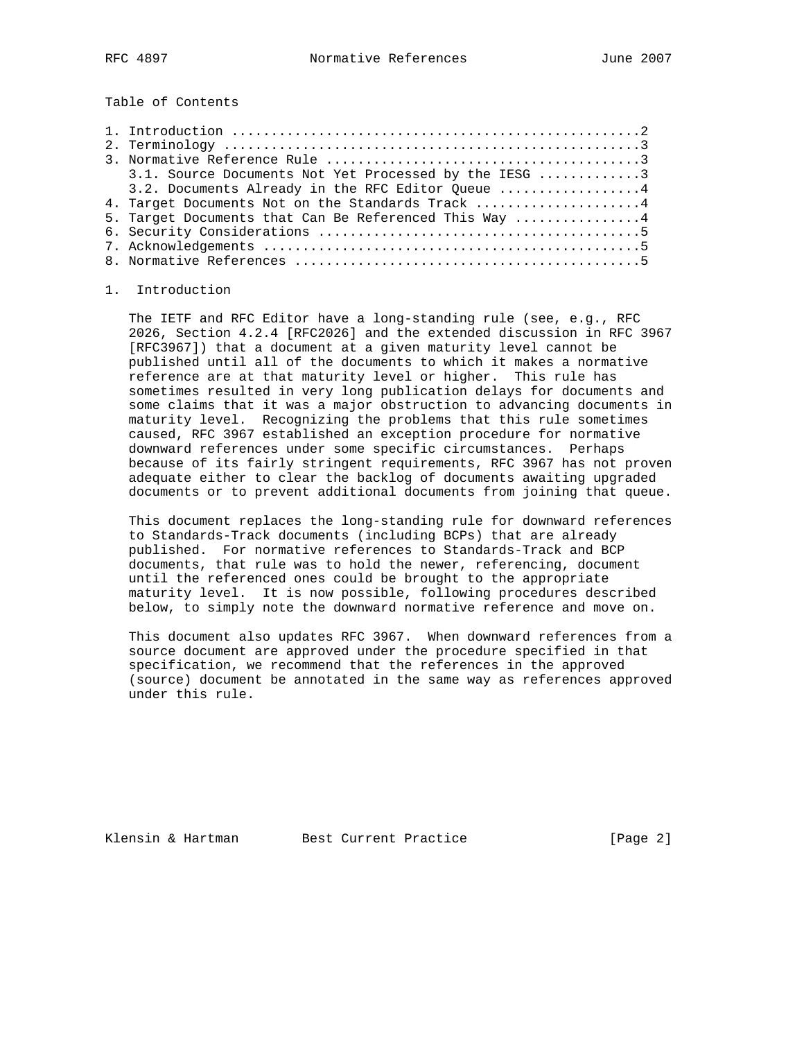Table of Contents

| 3.1. Source Documents Not Yet Processed by the IESG 3 |
|-------------------------------------------------------|
| 3.2. Documents Already in the RFC Editor Queue 4      |
| 4. Target Documents Not on the Standards Track 4      |
| 5. Target Documents that Can Be Referenced This Way 4 |
|                                                       |
|                                                       |
|                                                       |

## 1. Introduction

 The IETF and RFC Editor have a long-standing rule (see, e.g., RFC 2026, Section 4.2.4 [RFC2026] and the extended discussion in RFC 3967 [RFC3967]) that a document at a given maturity level cannot be published until all of the documents to which it makes a normative reference are at that maturity level or higher. This rule has sometimes resulted in very long publication delays for documents and some claims that it was a major obstruction to advancing documents in maturity level. Recognizing the problems that this rule sometimes caused, RFC 3967 established an exception procedure for normative downward references under some specific circumstances. Perhaps because of its fairly stringent requirements, RFC 3967 has not proven adequate either to clear the backlog of documents awaiting upgraded documents or to prevent additional documents from joining that queue.

 This document replaces the long-standing rule for downward references to Standards-Track documents (including BCPs) that are already published. For normative references to Standards-Track and BCP documents, that rule was to hold the newer, referencing, document until the referenced ones could be brought to the appropriate maturity level. It is now possible, following procedures described below, to simply note the downward normative reference and move on.

 This document also updates RFC 3967. When downward references from a source document are approved under the procedure specified in that specification, we recommend that the references in the approved (source) document be annotated in the same way as references approved under this rule.

Klensin & Hartman Best Current Practice [Page 2]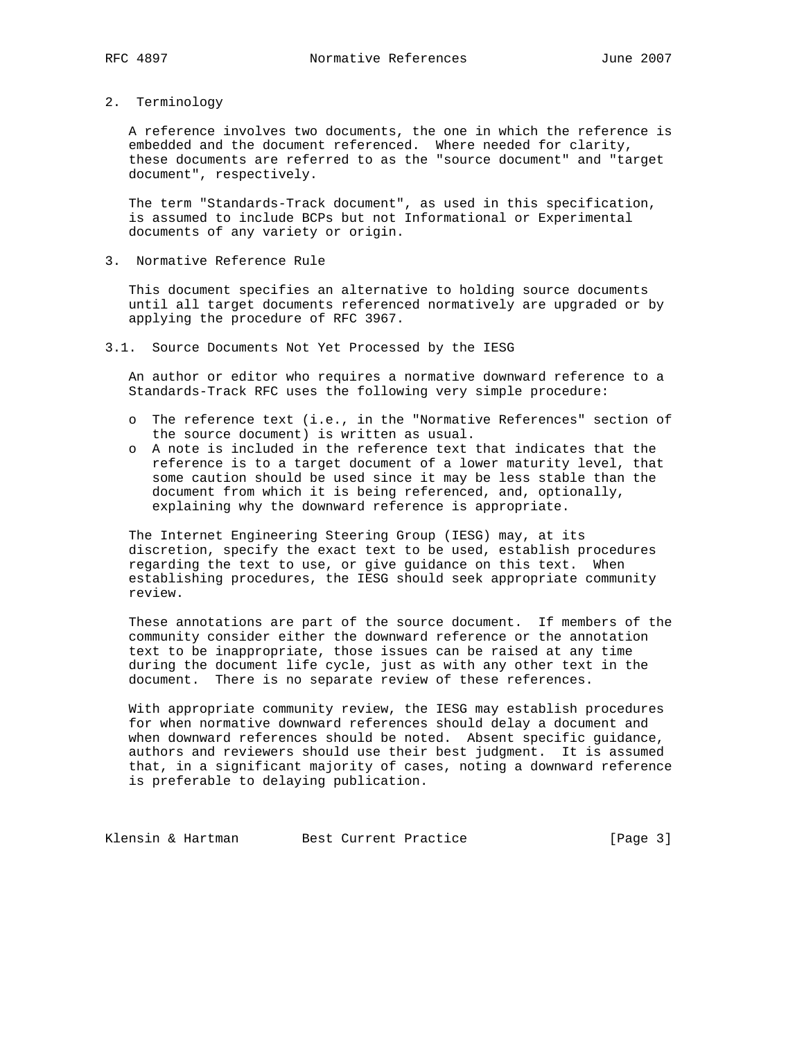2. Terminology

 A reference involves two documents, the one in which the reference is embedded and the document referenced. Where needed for clarity, these documents are referred to as the "source document" and "target document", respectively.

 The term "Standards-Track document", as used in this specification, is assumed to include BCPs but not Informational or Experimental documents of any variety or origin.

3. Normative Reference Rule

 This document specifies an alternative to holding source documents until all target documents referenced normatively are upgraded or by applying the procedure of RFC 3967.

3.1. Source Documents Not Yet Processed by the IESG

 An author or editor who requires a normative downward reference to a Standards-Track RFC uses the following very simple procedure:

- o The reference text (i.e., in the "Normative References" section of the source document) is written as usual.
- o A note is included in the reference text that indicates that the reference is to a target document of a lower maturity level, that some caution should be used since it may be less stable than the document from which it is being referenced, and, optionally, explaining why the downward reference is appropriate.

 The Internet Engineering Steering Group (IESG) may, at its discretion, specify the exact text to be used, establish procedures regarding the text to use, or give guidance on this text. When establishing procedures, the IESG should seek appropriate community review.

 These annotations are part of the source document. If members of the community consider either the downward reference or the annotation text to be inappropriate, those issues can be raised at any time during the document life cycle, just as with any other text in the document. There is no separate review of these references.

 With appropriate community review, the IESG may establish procedures for when normative downward references should delay a document and when downward references should be noted. Absent specific guidance, authors and reviewers should use their best judgment. It is assumed that, in a significant majority of cases, noting a downward reference is preferable to delaying publication.

Klensin & Hartman Best Current Practice [Page 3]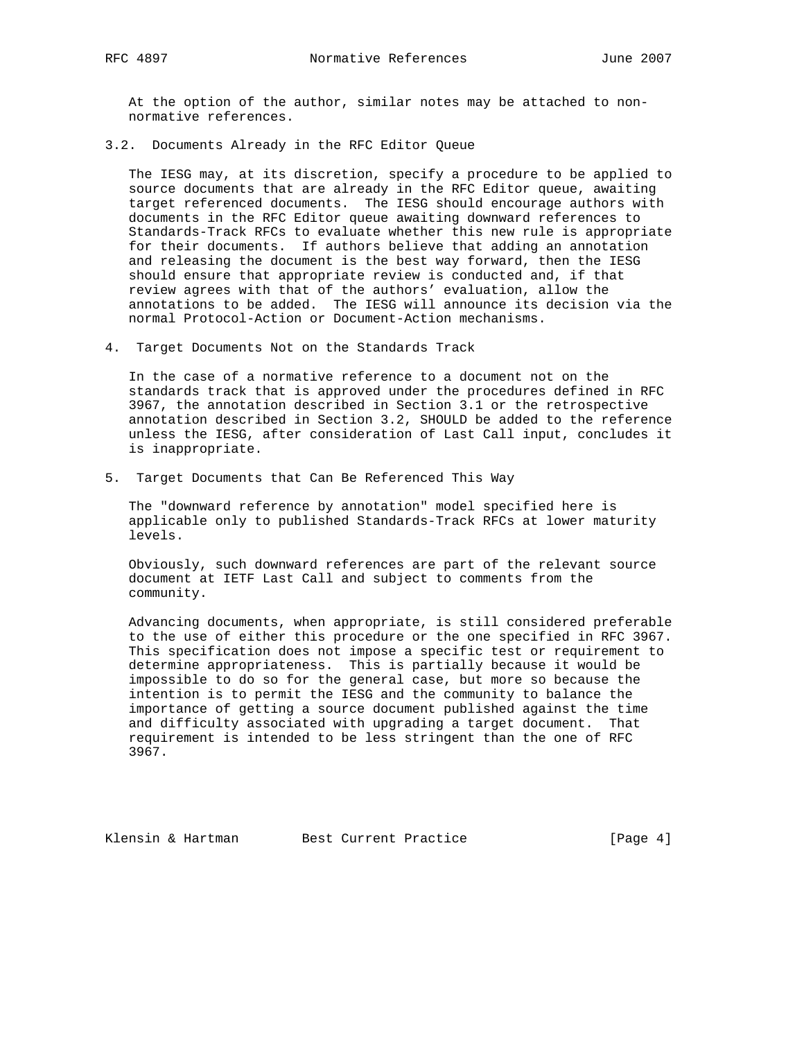At the option of the author, similar notes may be attached to non normative references.

3.2. Documents Already in the RFC Editor Queue

 The IESG may, at its discretion, specify a procedure to be applied to source documents that are already in the RFC Editor queue, awaiting target referenced documents. The IESG should encourage authors with documents in the RFC Editor queue awaiting downward references to Standards-Track RFCs to evaluate whether this new rule is appropriate for their documents. If authors believe that adding an annotation and releasing the document is the best way forward, then the IESG should ensure that appropriate review is conducted and, if that review agrees with that of the authors' evaluation, allow the annotations to be added. The IESG will announce its decision via the normal Protocol-Action or Document-Action mechanisms.

4. Target Documents Not on the Standards Track

 In the case of a normative reference to a document not on the standards track that is approved under the procedures defined in RFC 3967, the annotation described in Section 3.1 or the retrospective annotation described in Section 3.2, SHOULD be added to the reference unless the IESG, after consideration of Last Call input, concludes it is inappropriate.

5. Target Documents that Can Be Referenced This Way

 The "downward reference by annotation" model specified here is applicable only to published Standards-Track RFCs at lower maturity levels.

 Obviously, such downward references are part of the relevant source document at IETF Last Call and subject to comments from the community.

 Advancing documents, when appropriate, is still considered preferable to the use of either this procedure or the one specified in RFC 3967. This specification does not impose a specific test or requirement to determine appropriateness. This is partially because it would be impossible to do so for the general case, but more so because the intention is to permit the IESG and the community to balance the importance of getting a source document published against the time and difficulty associated with upgrading a target document. That requirement is intended to be less stringent than the one of RFC 3967.

Klensin & Hartman Best Current Practice [Page 4]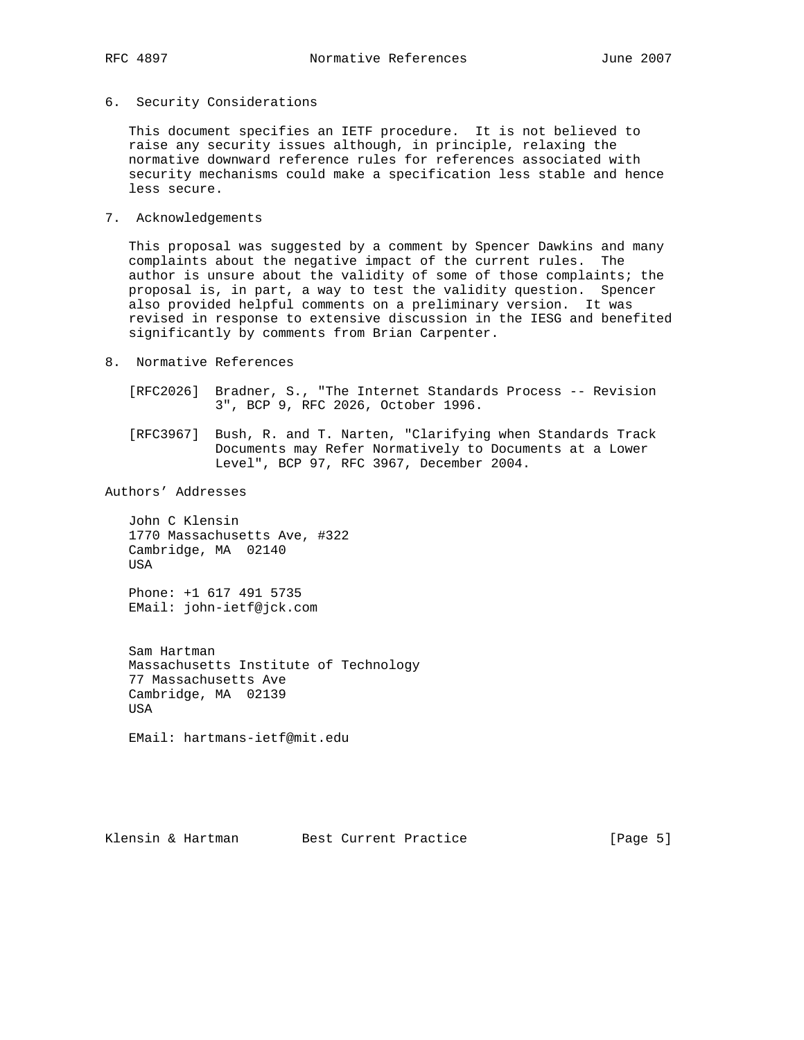6. Security Considerations

 This document specifies an IETF procedure. It is not believed to raise any security issues although, in principle, relaxing the normative downward reference rules for references associated with security mechanisms could make a specification less stable and hence less secure.

7. Acknowledgements

 This proposal was suggested by a comment by Spencer Dawkins and many complaints about the negative impact of the current rules. The author is unsure about the validity of some of those complaints; the proposal is, in part, a way to test the validity question. Spencer also provided helpful comments on a preliminary version. It was revised in response to extensive discussion in the IESG and benefited significantly by comments from Brian Carpenter.

- 8. Normative References
	- [RFC2026] Bradner, S., "The Internet Standards Process -- Revision 3", BCP 9, RFC 2026, October 1996.
	- [RFC3967] Bush, R. and T. Narten, "Clarifying when Standards Track Documents may Refer Normatively to Documents at a Lower Level", BCP 97, RFC 3967, December 2004.

## Authors' Addresses

 John C Klensin 1770 Massachusetts Ave, #322 Cambridge, MA 02140 USA

 Phone: +1 617 491 5735 EMail: john-ietf@jck.com

 Sam Hartman Massachusetts Institute of Technology 77 Massachusetts Ave Cambridge, MA 02139 USA

EMail: hartmans-ietf@mit.edu